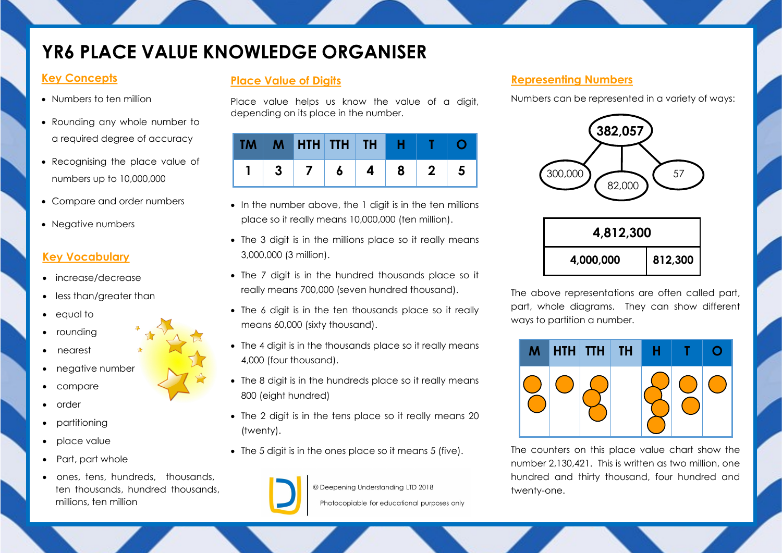# **YR6 PLACE VALUE KNOWLEDGE ORGANISER**

### **Key Concepts**

- Numbers to ten million
- Rounding any whole number to a required degree of accuracy
- Recognising the place value of numbers up to 10,000,000
- Compare and order numbers
- Negative numbers

### **Key Vocabulary**

- increase/decrease
- less than/greater than
- equal to
- rounding
- nearest
- negative number
- compare
- order
- partitioning
- place value
- Part, part whole
- ones, tens, hundreds, thousands, ten thousands, hundred thousands, millions, ten million

## **Place Value of Digits**

Place value helps us know the value of a digit, depending on its place in the number.

|  | $M$ HTH TTH TH $H$ |    |   |              |   |
|--|--------------------|----|---|--------------|---|
|  |                    | 6. | 8 | $\mathbf{2}$ | Э |

- In the number above, the 1 digit is in the ten millions place so it really means 10,000,000 (ten million).
- The 3 digit is in the millions place so it really means 3,000,000 (3 million).
- The 7 digit is in the hundred thousands place so it really means 700,000 (seven hundred thousand).
- The 6 digit is in the ten thousands place so it really means 60,000 (sixty thousand).
- The 4 digit is in the thousands place so it really means 4,000 (four thousand).
- The 8 digit is in the hundreds place so it really means 800 (eight hundred)
- The 2 digit is in the tens place so it really means 20 (twenty).
- The 5 digit is in the ones place so it means 5 (five).



© Deepening Understanding LTD 2018

Photocopiable for educational purposes only

## **Representing Numbers**

Numbers can be represented in a variety of ways:



The above representations are often called part, part, whole diagrams. They can show different ways to partition a number.



The counters on this place value chart show the number 2,130,421. This is written as two million, one hundred and thirty thousand, four hundred and twenty-one.